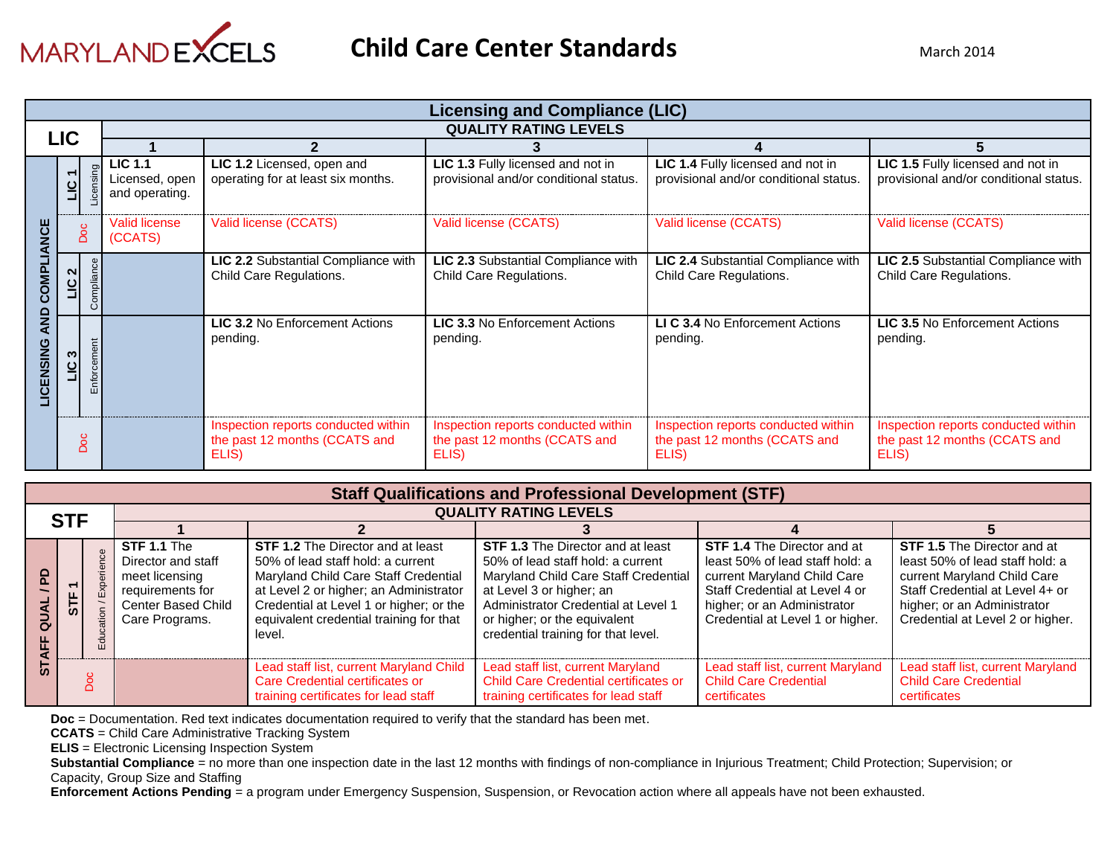

|  |                  |            |                                                    |                                                                               | <b>Licensing and Compliance (LIC)</b>                                         |                                                                               |                                                                               |
|--|------------------|------------|----------------------------------------------------|-------------------------------------------------------------------------------|-------------------------------------------------------------------------------|-------------------------------------------------------------------------------|-------------------------------------------------------------------------------|
|  | <b>LIC</b>       |            |                                                    |                                                                               | <b>QUALITY RATING LEVELS</b>                                                  |                                                                               |                                                                               |
|  |                  |            |                                                    |                                                                               |                                                                               |                                                                               |                                                                               |
|  |                  |            | <b>LIC 1.1</b><br>Licensed, open<br>and operating. | LIC 1.2 Licensed, open and<br>operating for at least six months.              | LIC 1.3 Fully licensed and not in<br>provisional and/or conditional status.   | LIC 1.4 Fully licensed and not in<br>provisional and/or conditional status.   | LIC 1.5 Fully licensed and not in<br>provisional and/or conditional status.   |
|  | Doc              |            | <b>Valid license</b><br>(CCATS)                    | Valid license (CCATS)                                                         | Valid license (CCATS)                                                         | Valid license (CCATS)                                                         | Valid license (CCATS)                                                         |
|  | LIC <sub>2</sub> | Compliar   |                                                    | LIC 2.2 Substantial Compliance with<br>Child Care Regulations.                | LIC 2.3 Substantial Compliance with<br>Child Care Regulations.                | LIC 2.4 Substantial Compliance with<br>Child Care Regulations.                | LIC 2.5 Substantial Compliance with<br>Child Care Regulations.                |
|  | LIC <sub>3</sub> | Enforcer   |                                                    | <b>LIC 3.2 No Enforcement Actions</b><br>pending.                             | <b>LIC 3.3 No Enforcement Actions</b><br>pending.                             | LI C 3.4 No Enforcement Actions<br>pending.                                   | <b>LIC 3.5 No Enforcement Actions</b><br>pending.                             |
|  |                  | <b>Doc</b> |                                                    | Inspection reports conducted within<br>the past 12 months (CCATS and<br>ELIS) | Inspection reports conducted within<br>the past 12 months (CCATS and<br>ELIS) | Inspection reports conducted within<br>the past 12 months (CCATS and<br>ELIS) | Inspection reports conducted within<br>the past 12 months (CCATS and<br>ELIS) |

|   | <b>Staff Qualifications and Professional Development (STF)</b> |  |                                                                                                                        |                                                                                                                                                                                                                                                                 |                                                                                                                                                                                                                                                                 |                                                                                                                                                                                                           |                                                                                                                                                                                                            |  |  |  |  |
|---|----------------------------------------------------------------|--|------------------------------------------------------------------------------------------------------------------------|-----------------------------------------------------------------------------------------------------------------------------------------------------------------------------------------------------------------------------------------------------------------|-----------------------------------------------------------------------------------------------------------------------------------------------------------------------------------------------------------------------------------------------------------------|-----------------------------------------------------------------------------------------------------------------------------------------------------------------------------------------------------------|------------------------------------------------------------------------------------------------------------------------------------------------------------------------------------------------------------|--|--|--|--|
|   | <b>STF</b>                                                     |  |                                                                                                                        | <b>QUALITY RATING LEVELS</b>                                                                                                                                                                                                                                    |                                                                                                                                                                                                                                                                 |                                                                                                                                                                                                           |                                                                                                                                                                                                            |  |  |  |  |
|   |                                                                |  |                                                                                                                        |                                                                                                                                                                                                                                                                 |                                                                                                                                                                                                                                                                 |                                                                                                                                                                                                           |                                                                                                                                                                                                            |  |  |  |  |
|   | $\overline{\phantom{0}}$<br>575                                |  | STF 1.1 The<br>Director and staff<br>meet licensing<br>requirements for<br><b>Center Based Child</b><br>Care Programs. | <b>STF 1.2</b> The Director and at least<br>50% of lead staff hold: a current<br>Maryland Child Care Staff Credential<br>at Level 2 or higher; an Administrator<br>Credential at Level 1 or higher; or the<br>equivalent credential training for that<br>level. | <b>STF 1.3</b> The Director and at least<br>50% of lead staff hold: a current<br>Maryland Child Care Staff Credential<br>at Level 3 or higher; an<br>Administrator Credential at Level 1<br>or higher; or the equivalent<br>credential training for that level. | <b>STF 1.4 The Director and at</b><br>least 50% of lead staff hold: a<br>current Maryland Child Care<br>Staff Credential at Level 4 or<br>higher; or an Administrator<br>Credential at Level 1 or higher. | <b>STF 1.5</b> The Director and at<br>least 50% of lead staff hold: a<br>current Maryland Child Care<br>Staff Credential at Level 4+ or<br>higher; or an Administrator<br>Credential at Level 2 or higher. |  |  |  |  |
| 5 | ∩                                                              |  |                                                                                                                        | Lead staff list, current Maryland Child<br>Care Credential certificates or<br>training certificates for lead staff                                                                                                                                              | Lead staff list, current Maryland<br><b>Child Care Credential certificates or</b><br>training certificates for lead staff                                                                                                                                       | Lead staff list, current Maryland<br><b>Child Care Credential</b><br>certificates                                                                                                                         | Lead staff list, current Maryland<br><b>Child Care Credential</b><br>certificates                                                                                                                          |  |  |  |  |

**Doc** = Documentation. Red text indicates documentation required to verify that the standard has been met.

**CCATS** = Child Care Administrative Tracking System

**ELIS** = Electronic Licensing Inspection System

**Substantial Compliance** = no more than one inspection date in the last 12 months with findings of non-compliance in Injurious Treatment; Child Protection; Supervision; or Capacity, Group Size and Staffing

**Enforcement Actions Pending** = a program under Emergency Suspension, Suspension, or Revocation action where all appeals have not been exhausted.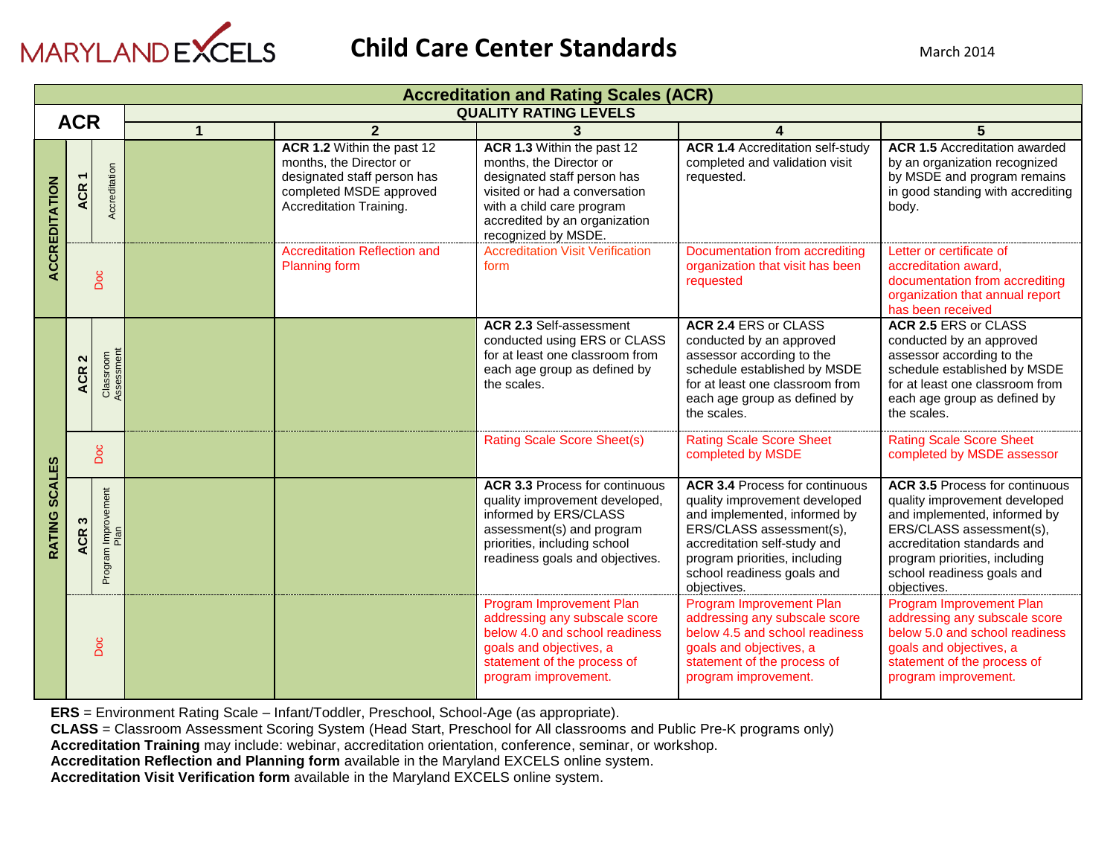

|                      | <b>Accreditation and Rating Scales (ACR)</b>                                                                                                |                             |                            |                                                                                                                                                                                                            |                                                                                                                                                                                                  |                                                                                                                                                                                                                                                  |                                                                                                                                                                                                                                                 |  |  |
|----------------------|---------------------------------------------------------------------------------------------------------------------------------------------|-----------------------------|----------------------------|------------------------------------------------------------------------------------------------------------------------------------------------------------------------------------------------------------|--------------------------------------------------------------------------------------------------------------------------------------------------------------------------------------------------|--------------------------------------------------------------------------------------------------------------------------------------------------------------------------------------------------------------------------------------------------|-------------------------------------------------------------------------------------------------------------------------------------------------------------------------------------------------------------------------------------------------|--|--|
|                      | <b>ACR</b>                                                                                                                                  |                             |                            |                                                                                                                                                                                                            | <b>QUALITY RATING LEVELS</b>                                                                                                                                                                     |                                                                                                                                                                                                                                                  |                                                                                                                                                                                                                                                 |  |  |
|                      |                                                                                                                                             |                             | 1                          | $\overline{2}$                                                                                                                                                                                             | 3                                                                                                                                                                                                | 4                                                                                                                                                                                                                                                | 5                                                                                                                                                                                                                                               |  |  |
| <b>ACCREDITATION</b> | months, the Director or<br>Accreditation<br>designated staff person has<br><b>ACR</b><br>completed MSDE approved<br>Accreditation Training. |                             | ACR 1.2 Within the past 12 | ACR 1.3 Within the past 12<br>months, the Director or<br>designated staff person has<br>visited or had a conversation<br>with a child care program<br>accredited by an organization<br>recognized by MSDE. | <b>ACR 1.4 Accreditation self-study</b><br>completed and validation visit<br>requested.                                                                                                          | <b>ACR 1.5 Accreditation awarded</b><br>by an organization recognized<br>by MSDE and program remains<br>in good standing with accrediting<br>body.                                                                                               |                                                                                                                                                                                                                                                 |  |  |
|                      | Doc                                                                                                                                         |                             |                            | <b>Accreditation Reflection and</b><br><b>Planning form</b>                                                                                                                                                | <b>Accreditation Visit Verification</b><br>form                                                                                                                                                  | Documentation from accrediting<br>organization that visit has been<br>requested                                                                                                                                                                  | Letter or certificate of<br>accreditation award.<br>documentation from accrediting<br>organization that annual report<br>has been received                                                                                                      |  |  |
|                      | $\mathbf{\Omega}$<br><b>ACR</b>                                                                                                             | Classroom<br>Assessment     |                            |                                                                                                                                                                                                            | <b>ACR 2.3 Self-assessment</b><br>conducted using ERS or CLASS<br>for at least one classroom from<br>each age group as defined by<br>the scales.                                                 | <b>ACR 2.4 ERS or CLASS</b><br>conducted by an approved<br>assessor according to the<br>schedule established by MSDE<br>for at least one classroom from<br>each age group as defined by<br>the scales.                                           | <b>ACR 2.5 ERS or CLASS</b><br>conducted by an approved<br>assessor according to the<br>schedule established by MSDE<br>for at least one classroom from<br>each age group as defined by<br>the scales.                                          |  |  |
|                      |                                                                                                                                             | Doc                         |                            |                                                                                                                                                                                                            | <b>Rating Scale Score Sheet(s)</b>                                                                                                                                                               | <b>Rating Scale Score Sheet</b><br>completed by MSDE                                                                                                                                                                                             | <b>Rating Scale Score Sheet</b><br>completed by MSDE assessor                                                                                                                                                                                   |  |  |
| RATING SCALES        | S<br><b>ACR</b>                                                                                                                             | Program Improvement<br>Plan |                            |                                                                                                                                                                                                            | <b>ACR 3.3 Process for continuous</b><br>quality improvement developed,<br>informed by ERS/CLASS<br>assessment(s) and program<br>priorities, including school<br>readiness goals and objectives. | <b>ACR 3.4 Process for continuous</b><br>quality improvement developed<br>and implemented, informed by<br>ERS/CLASS assessment(s),<br>accreditation self-study and<br>program priorities, including<br>school readiness goals and<br>objectives. | <b>ACR 3.5 Process for continuous</b><br>quality improvement developed<br>and implemented, informed by<br>ERS/CLASS assessment(s),<br>accreditation standards and<br>program priorities, including<br>school readiness goals and<br>objectives. |  |  |
|                      |                                                                                                                                             | Doc                         |                            |                                                                                                                                                                                                            | Program Improvement Plan<br>addressing any subscale score<br>below 4.0 and school readiness<br>goals and objectives, a<br>statement of the process of<br>program improvement.                    | Program Improvement Plan<br>addressing any subscale score<br>below 4.5 and school readiness<br>goals and objectives, a<br>statement of the process of<br>program improvement.                                                                    | Program Improvement Plan<br>addressing any subscale score<br>below 5.0 and school readiness<br>goals and objectives, a<br>statement of the process of<br>program improvement.                                                                   |  |  |

**ERS** = Environment Rating Scale – Infant/Toddler, Preschool, School-Age (as appropriate).

**CLASS** = Classroom Assessment Scoring System (Head Start, Preschool for All classrooms and Public Pre-K programs only)

**Accreditation Training** may include: webinar, accreditation orientation, conference, seminar, or workshop.

**Accreditation Reflection and Planning form** available in the Maryland EXCELS online system.

**Accreditation Visit Verification form** available in the Maryland EXCELS online system.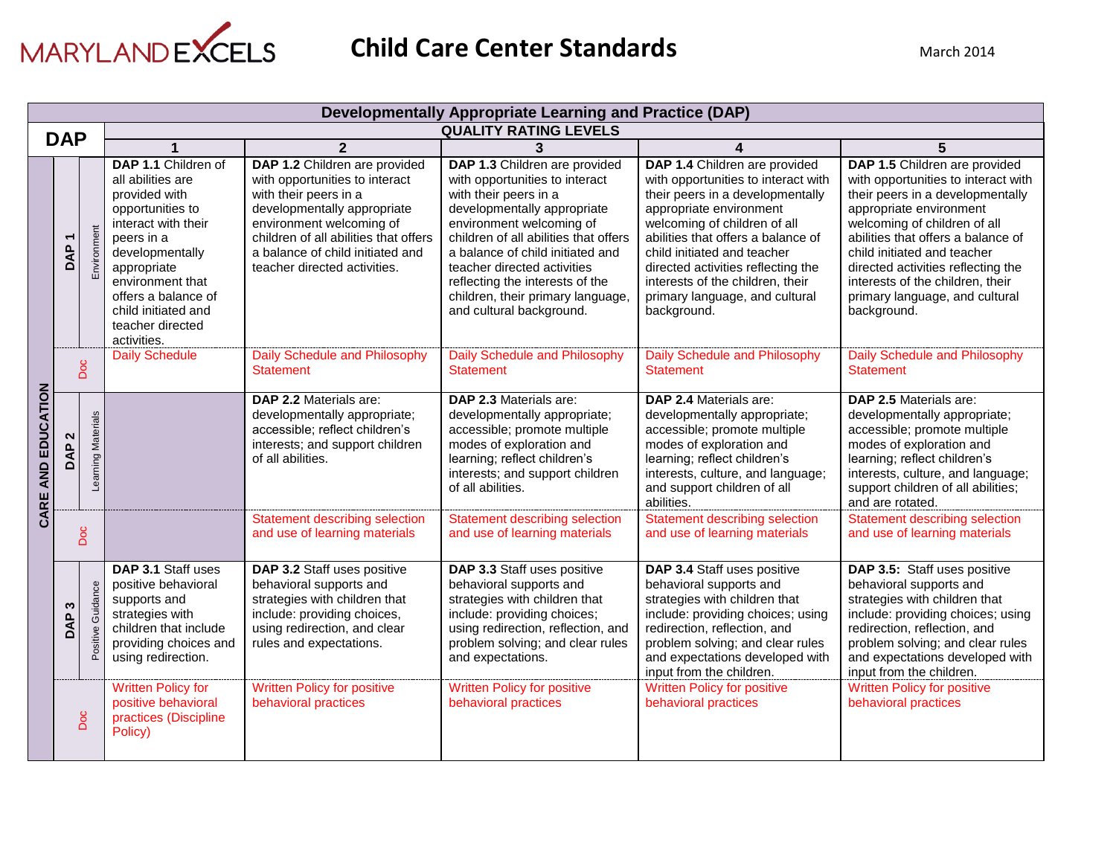

|                              |                 |                      |                                                                                                                                                                                                                                                           |                                                                                                                                                                                                                                                                  | Developmentally Appropriate Learning and Practice (DAP)                                                                                                                                                                                                                                                                                                             |                                                                                                                                                                                                                                                                                                                                                                     |                                                                                                                                                                                                                                                                                                                                                                     |
|------------------------------|-----------------|----------------------|-----------------------------------------------------------------------------------------------------------------------------------------------------------------------------------------------------------------------------------------------------------|------------------------------------------------------------------------------------------------------------------------------------------------------------------------------------------------------------------------------------------------------------------|---------------------------------------------------------------------------------------------------------------------------------------------------------------------------------------------------------------------------------------------------------------------------------------------------------------------------------------------------------------------|---------------------------------------------------------------------------------------------------------------------------------------------------------------------------------------------------------------------------------------------------------------------------------------------------------------------------------------------------------------------|---------------------------------------------------------------------------------------------------------------------------------------------------------------------------------------------------------------------------------------------------------------------------------------------------------------------------------------------------------------------|
|                              | <b>DAP</b>      |                      |                                                                                                                                                                                                                                                           |                                                                                                                                                                                                                                                                  | <b>QUALITY RATING LEVELS</b>                                                                                                                                                                                                                                                                                                                                        |                                                                                                                                                                                                                                                                                                                                                                     |                                                                                                                                                                                                                                                                                                                                                                     |
|                              |                 |                      |                                                                                                                                                                                                                                                           | $\mathbf{2}$                                                                                                                                                                                                                                                     | 3                                                                                                                                                                                                                                                                                                                                                                   | 4                                                                                                                                                                                                                                                                                                                                                                   | 5                                                                                                                                                                                                                                                                                                                                                                   |
|                              | ٣<br><b>DAP</b> | Environment          | DAP 1.1 Children of<br>all abilities are<br>provided with<br>opportunities to<br>interact with their<br>peers in a<br>developmentally<br>appropriate<br>environment that<br>offers a balance of<br>child initiated and<br>teacher directed<br>activities. | DAP 1.2 Children are provided<br>with opportunities to interact<br>with their peers in a<br>developmentally appropriate<br>environment welcoming of<br>children of all abilities that offers<br>a balance of child initiated and<br>teacher directed activities. | DAP 1.3 Children are provided<br>with opportunities to interact<br>with their peers in a<br>developmentally appropriate<br>environment welcoming of<br>children of all abilities that offers<br>a balance of child initiated and<br>teacher directed activities<br>reflecting the interests of the<br>children, their primary language,<br>and cultural background. | DAP 1.4 Children are provided<br>with opportunities to interact with<br>their peers in a developmentally<br>appropriate environment<br>welcoming of children of all<br>abilities that offers a balance of<br>child initiated and teacher<br>directed activities reflecting the<br>interests of the children, their<br>primary language, and cultural<br>background. | DAP 1.5 Children are provided<br>with opportunities to interact with<br>their peers in a developmentally<br>appropriate environment<br>welcoming of children of all<br>abilities that offers a balance of<br>child initiated and teacher<br>directed activities reflecting the<br>interests of the children, their<br>primary language, and cultural<br>background. |
|                              | Doc             |                      | <b>Daily Schedule</b>                                                                                                                                                                                                                                     | Daily Schedule and Philosophy<br><b>Statement</b>                                                                                                                                                                                                                | Daily Schedule and Philosophy<br><b>Statement</b>                                                                                                                                                                                                                                                                                                                   | Daily Schedule and Philosophy<br><b>Statement</b>                                                                                                                                                                                                                                                                                                                   | Daily Schedule and Philosophy<br><b>Statement</b>                                                                                                                                                                                                                                                                                                                   |
| AND EDUCATION<br><b>CARE</b> | 2<br>DAP        | Learning Materials   |                                                                                                                                                                                                                                                           | DAP 2.2 Materials are:<br>developmentally appropriate;<br>accessible; reflect children's<br>interests; and support children<br>of all abilities.                                                                                                                 | DAP 2.3 Materials are:<br>developmentally appropriate;<br>accessible; promote multiple<br>modes of exploration and<br>learning; reflect children's<br>interests; and support children<br>of all abilities.                                                                                                                                                          | DAP 2.4 Materials are:<br>developmentally appropriate;<br>accessible; promote multiple<br>modes of exploration and<br>learning; reflect children's<br>interests, culture, and language;<br>and support children of all<br>abilities.                                                                                                                                | DAP 2.5 Materials are:<br>developmentally appropriate;<br>accessible; promote multiple<br>modes of exploration and<br>learning; reflect children's<br>interests, culture, and language;<br>support children of all abilities;<br>and are rotated.                                                                                                                   |
|                              | Doc             |                      |                                                                                                                                                                                                                                                           | Statement describing selection<br>and use of learning materials                                                                                                                                                                                                  | Statement describing selection<br>and use of learning materials                                                                                                                                                                                                                                                                                                     | <b>Statement describing selection</b><br>and use of learning materials                                                                                                                                                                                                                                                                                              | <b>Statement describing selection</b><br>and use of learning materials                                                                                                                                                                                                                                                                                              |
|                              | w<br>DAP        | Guidance<br>Positive | DAP 3.1 Staff uses<br>positive behavioral<br>supports and<br>strategies with<br>children that include<br>providing choices and<br>using redirection.                                                                                                      | DAP 3.2 Staff uses positive<br>behavioral supports and<br>strategies with children that<br>include: providing choices,<br>using redirection, and clear<br>rules and expectations.                                                                                | DAP 3.3 Staff uses positive<br>behavioral supports and<br>strategies with children that<br>include: providing choices;<br>using redirection, reflection, and<br>problem solving; and clear rules<br>and expectations.                                                                                                                                               | DAP 3.4 Staff uses positive<br>behavioral supports and<br>strategies with children that<br>include: providing choices; using<br>redirection, reflection, and<br>problem solving; and clear rules<br>and expectations developed with<br>input from the children.                                                                                                     | DAP 3.5: Staff uses positive<br>behavioral supports and<br>strategies with children that<br>include: providing choices; using<br>redirection, reflection, and<br>problem solving; and clear rules<br>and expectations developed with<br>input from the children.                                                                                                    |
|                              |                 | Doc                  | <b>Written Policy for</b><br>positive behavioral<br>practices (Discipline<br>Policy)                                                                                                                                                                      | <b>Written Policy for positive</b><br>behavioral practices                                                                                                                                                                                                       | <b>Written Policy for positive</b><br>behavioral practices                                                                                                                                                                                                                                                                                                          | <b>Written Policy for positive</b><br>behavioral practices                                                                                                                                                                                                                                                                                                          | <b>Written Policy for positive</b><br>behavioral practices                                                                                                                                                                                                                                                                                                          |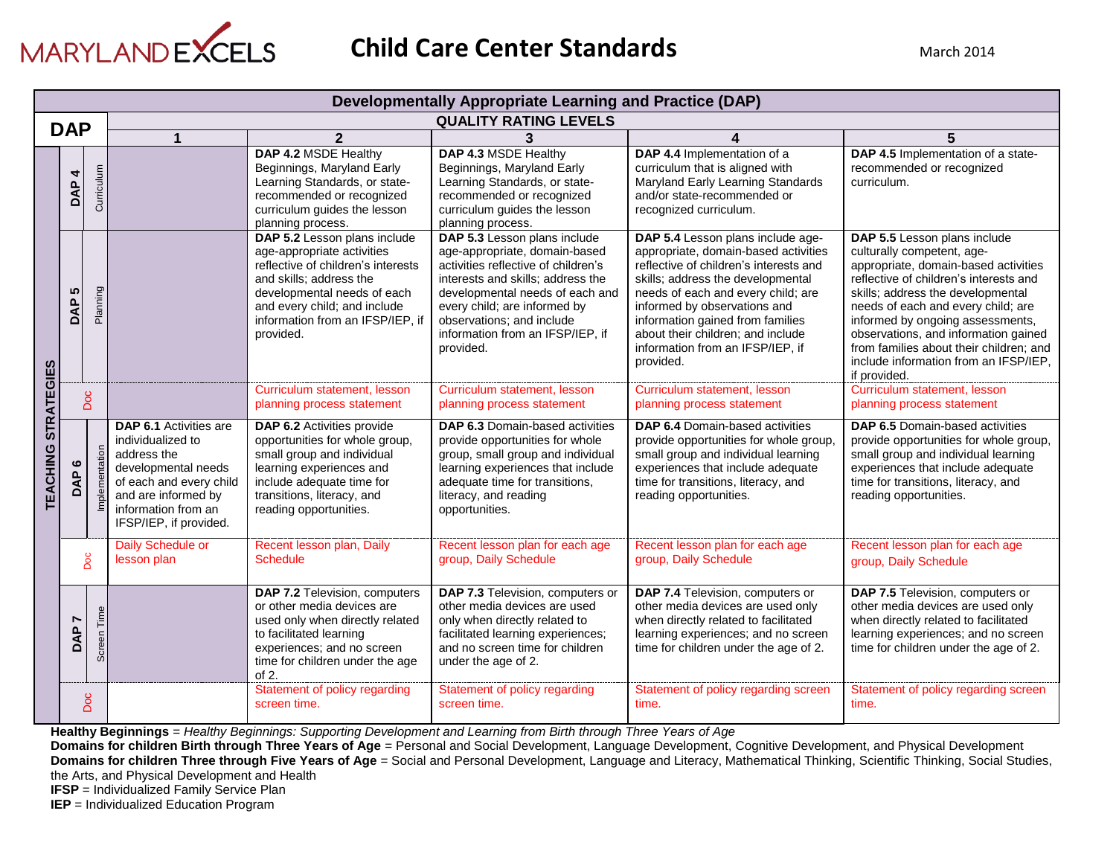

|                   |                       |                |                                                                                                                                                                                             |                                                                                                                                                                                                                                             | <b>Developmentally Appropriate Learning and Practice (DAP)</b>                                                                                                                                                                                                                             |                                                                                                                                                                                                                                                                                                                                                          |                                                                                                                                                                                                                                                                                                                                                                                                         |
|-------------------|-----------------------|----------------|---------------------------------------------------------------------------------------------------------------------------------------------------------------------------------------------|---------------------------------------------------------------------------------------------------------------------------------------------------------------------------------------------------------------------------------------------|--------------------------------------------------------------------------------------------------------------------------------------------------------------------------------------------------------------------------------------------------------------------------------------------|----------------------------------------------------------------------------------------------------------------------------------------------------------------------------------------------------------------------------------------------------------------------------------------------------------------------------------------------------------|---------------------------------------------------------------------------------------------------------------------------------------------------------------------------------------------------------------------------------------------------------------------------------------------------------------------------------------------------------------------------------------------------------|
|                   | <b>DAP</b>            |                |                                                                                                                                                                                             |                                                                                                                                                                                                                                             | <b>QUALITY RATING LEVELS</b>                                                                                                                                                                                                                                                               |                                                                                                                                                                                                                                                                                                                                                          |                                                                                                                                                                                                                                                                                                                                                                                                         |
|                   |                       |                |                                                                                                                                                                                             | $\overline{2}$                                                                                                                                                                                                                              |                                                                                                                                                                                                                                                                                            |                                                                                                                                                                                                                                                                                                                                                          |                                                                                                                                                                                                                                                                                                                                                                                                         |
|                   | 4<br>DAP              | Curriculum     |                                                                                                                                                                                             | DAP 4.2 MSDE Healthy<br>Beginnings, Maryland Early<br>Learning Standards, or state-<br>recommended or recognized<br>curriculum guides the lesson<br>planning process.                                                                       | DAP 4.3 MSDE Healthy<br>Beginnings, Maryland Early<br>Learning Standards, or state-<br>recommended or recognized<br>curriculum guides the lesson<br>planning process.                                                                                                                      | DAP 4.4 Implementation of a<br>curriculum that is aligned with<br>Maryland Early Learning Standards<br>and/or state-recommended or<br>recognized curriculum.                                                                                                                                                                                             | DAP 4.5 Implementation of a state-<br>recommended or recognized<br>curriculum.                                                                                                                                                                                                                                                                                                                          |
|                   | 5<br>DAP              | Planning       |                                                                                                                                                                                             | DAP 5.2 Lesson plans include<br>age-appropriate activities<br>reflective of children's interests<br>and skills; address the<br>developmental needs of each<br>and every child; and include<br>information from an IFSP/IEP, if<br>provided. | DAP 5.3 Lesson plans include<br>age-appropriate, domain-based<br>activities reflective of children's<br>interests and skills; address the<br>developmental needs of each and<br>every child; are informed by<br>observations; and include<br>information from an IFSP/IEP, if<br>provided. | DAP 5.4 Lesson plans include age-<br>appropriate, domain-based activities<br>reflective of children's interests and<br>skills; address the developmental<br>needs of each and every child; are<br>informed by observations and<br>information gained from families<br>about their children; and include<br>information from an IFSP/IEP, if<br>provided. | DAP 5.5 Lesson plans include<br>culturally competent, age-<br>appropriate, domain-based activities<br>reflective of children's interests and<br>skills; address the developmental<br>needs of each and every child; are<br>informed by ongoing assessments,<br>observations, and information gained<br>from families about their children; and<br>include information from an IFSP/IEP.<br>if provided. |
| <b>STRATEGIES</b> | Doc                   |                |                                                                                                                                                                                             | Curriculum statement, lesson<br>planning process statement                                                                                                                                                                                  | Curriculum statement, lesson<br>planning process statement                                                                                                                                                                                                                                 | Curriculum statement, lesson<br>planning process statement                                                                                                                                                                                                                                                                                               | Curriculum statement, lesson<br>planning process statement                                                                                                                                                                                                                                                                                                                                              |
| TEACHING          | $\circ$<br>o          | Implementation | <b>DAP 6.1 Activities are</b><br>individualized to<br>address the<br>developmental needs<br>of each and every child<br>and are informed by<br>information from an<br>IFSP/IEP, if provided. | <b>DAP 6.2</b> Activities provide<br>opportunities for whole group,<br>small group and individual<br>learning experiences and<br>include adequate time for<br>transitions, literacy, and<br>reading opportunities.                          | <b>DAP 6.3 Domain-based activities</b><br>provide opportunities for whole<br>group, small group and individual<br>learning experiences that include<br>adequate time for transitions,<br>literacy, and reading<br>opportunities.                                                           | <b>DAP 6.4 Domain-based activities</b><br>provide opportunities for whole group,<br>small group and individual learning<br>experiences that include adequate<br>time for transitions, literacy, and<br>reading opportunities.                                                                                                                            | <b>DAP 6.5 Domain-based activities</b><br>provide opportunities for whole group,<br>small group and individual learning<br>experiences that include adequate<br>time for transitions, literacy, and<br>reading opportunities.                                                                                                                                                                           |
|                   |                       | Doc            | Daily Schedule or<br>lesson plan                                                                                                                                                            | Recent lesson plan, Daily<br><b>Schedule</b>                                                                                                                                                                                                | Recent lesson plan for each age<br>group, Daily Schedule                                                                                                                                                                                                                                   | Recent lesson plan for each age<br>group, Daily Schedule                                                                                                                                                                                                                                                                                                 | Recent lesson plan for each age<br>group, Daily Schedule                                                                                                                                                                                                                                                                                                                                                |
|                   | $\overline{ }$<br>DAP | Screen Time    |                                                                                                                                                                                             | DAP 7.2 Television, computers<br>or other media devices are<br>used only when directly related<br>to facilitated learning<br>experiences; and no screen<br>time for children under the age<br>of $2$ .                                      | DAP 7.3 Television, computers or<br>other media devices are used<br>only when directly related to<br>facilitated learning experiences;<br>and no screen time for children<br>under the age of 2.                                                                                           | DAP 7.4 Television, computers or<br>other media devices are used only<br>when directly related to facilitated<br>learning experiences; and no screen<br>time for children under the age of 2.                                                                                                                                                            | DAP 7.5 Television, computers or<br>other media devices are used only<br>when directly related to facilitated<br>learning experiences; and no screen<br>time for children under the age of 2.                                                                                                                                                                                                           |
|                   |                       | Doc            |                                                                                                                                                                                             | Statement of policy regarding<br>screen time.                                                                                                                                                                                               | Statement of policy regarding<br>screen time.                                                                                                                                                                                                                                              | Statement of policy regarding screen<br>time.                                                                                                                                                                                                                                                                                                            | Statement of policy regarding screen<br>time.                                                                                                                                                                                                                                                                                                                                                           |

**Healthy Beginnings** = *Healthy Beginnings: Supporting Development and Learning from Birth through Three Years of Age*

**Domains for children Birth through Three Years of Age** = Personal and Social Development, Language Development, Cognitive Development, and Physical Development

**Domains for children Three through Five Years of Age** = Social and Personal Development, Language and Literacy, Mathematical Thinking, Scientific Thinking, Social Studies, the Arts, and Physical Development and Health

**IFSP** = Individualized Family Service Plan

**IEP** = Individualized Education Program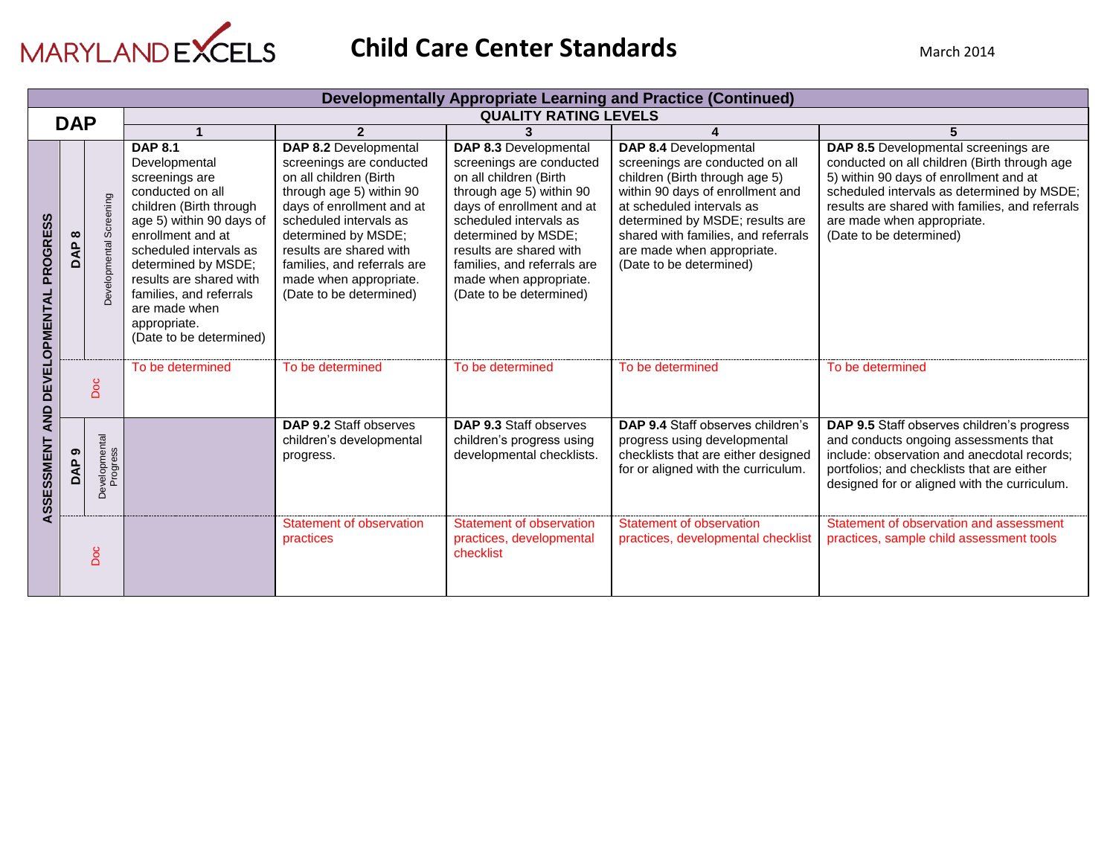

|                                         |                 |                           |                                                                                                                                                                                                                                                                                                                      |                                                                                                                                                                                                                                                                                                      |                                                                                                                                                                                                                                                                                                      | <b>Developmentally Appropriate Learning and Practice (Continued)</b>                                                                                                                                                                                                                           |                                                                                                                                                                                                                                                                                          |
|-----------------------------------------|-----------------|---------------------------|----------------------------------------------------------------------------------------------------------------------------------------------------------------------------------------------------------------------------------------------------------------------------------------------------------------------|------------------------------------------------------------------------------------------------------------------------------------------------------------------------------------------------------------------------------------------------------------------------------------------------------|------------------------------------------------------------------------------------------------------------------------------------------------------------------------------------------------------------------------------------------------------------------------------------------------------|------------------------------------------------------------------------------------------------------------------------------------------------------------------------------------------------------------------------------------------------------------------------------------------------|------------------------------------------------------------------------------------------------------------------------------------------------------------------------------------------------------------------------------------------------------------------------------------------|
|                                         | <b>DAP</b>      |                           |                                                                                                                                                                                                                                                                                                                      |                                                                                                                                                                                                                                                                                                      | <b>QUALITY RATING LEVELS</b>                                                                                                                                                                                                                                                                         |                                                                                                                                                                                                                                                                                                |                                                                                                                                                                                                                                                                                          |
|                                         |                 |                           |                                                                                                                                                                                                                                                                                                                      | $\mathbf{z}$                                                                                                                                                                                                                                                                                         | 3                                                                                                                                                                                                                                                                                                    |                                                                                                                                                                                                                                                                                                | 5                                                                                                                                                                                                                                                                                        |
| <b>PROGRESS</b><br><b>DEVELOPMENTAL</b> | $\infty$<br>DAP | Developmental Screening   | <b>DAP 8.1</b><br>Developmental<br>screenings are<br>conducted on all<br>children (Birth through<br>age 5) within 90 days of<br>enrollment and at<br>scheduled intervals as<br>determined by MSDE;<br>results are shared with<br>families, and referrals<br>are made when<br>appropriate.<br>(Date to be determined) | DAP 8.2 Developmental<br>screenings are conducted<br>on all children (Birth<br>through age 5) within 90<br>days of enrollment and at<br>scheduled intervals as<br>determined by MSDE;<br>results are shared with<br>families, and referrals are<br>made when appropriate.<br>(Date to be determined) | DAP 8.3 Developmental<br>screenings are conducted<br>on all children (Birth<br>through age 5) within 90<br>days of enrollment and at<br>scheduled intervals as<br>determined by MSDE;<br>results are shared with<br>families, and referrals are<br>made when appropriate.<br>(Date to be determined) | DAP 8.4 Developmental<br>screenings are conducted on all<br>children (Birth through age 5)<br>within 90 days of enrollment and<br>at scheduled intervals as<br>determined by MSDE; results are<br>shared with families, and referrals<br>are made when appropriate.<br>(Date to be determined) | DAP 8.5 Developmental screenings are<br>conducted on all children (Birth through age<br>5) within 90 days of enrollment and at<br>scheduled intervals as determined by MSDE;<br>results are shared with families, and referrals<br>are made when appropriate.<br>(Date to be determined) |
|                                         |                 | Doc                       | To be determined                                                                                                                                                                                                                                                                                                     | To be determined                                                                                                                                                                                                                                                                                     | To be determined                                                                                                                                                                                                                                                                                     | To be determined                                                                                                                                                                                                                                                                               | To be determined                                                                                                                                                                                                                                                                         |
| <b>AND</b><br>ASSESSMENT                | ၜ<br><b>BAP</b> | Developmental<br>Progress |                                                                                                                                                                                                                                                                                                                      | DAP 9.2 Staff observes<br>children's developmental<br>progress.                                                                                                                                                                                                                                      | DAP 9.3 Staff observes<br>children's progress using<br>developmental checklists.                                                                                                                                                                                                                     | DAP 9.4 Staff observes children's<br>progress using developmental<br>checklists that are either designed<br>for or aligned with the curriculum.                                                                                                                                                | DAP 9.5 Staff observes children's progress<br>and conducts ongoing assessments that<br>include: observation and anecdotal records;<br>portfolios; and checklists that are either<br>designed for or aligned with the curriculum.                                                         |
|                                         |                 | <b>Doc</b>                |                                                                                                                                                                                                                                                                                                                      | Statement of observation<br>practices                                                                                                                                                                                                                                                                | Statement of observation<br>practices, developmental<br>checklist                                                                                                                                                                                                                                    | Statement of observation<br>practices, developmental checklist                                                                                                                                                                                                                                 | Statement of observation and assessment<br>practices, sample child assessment tools                                                                                                                                                                                                      |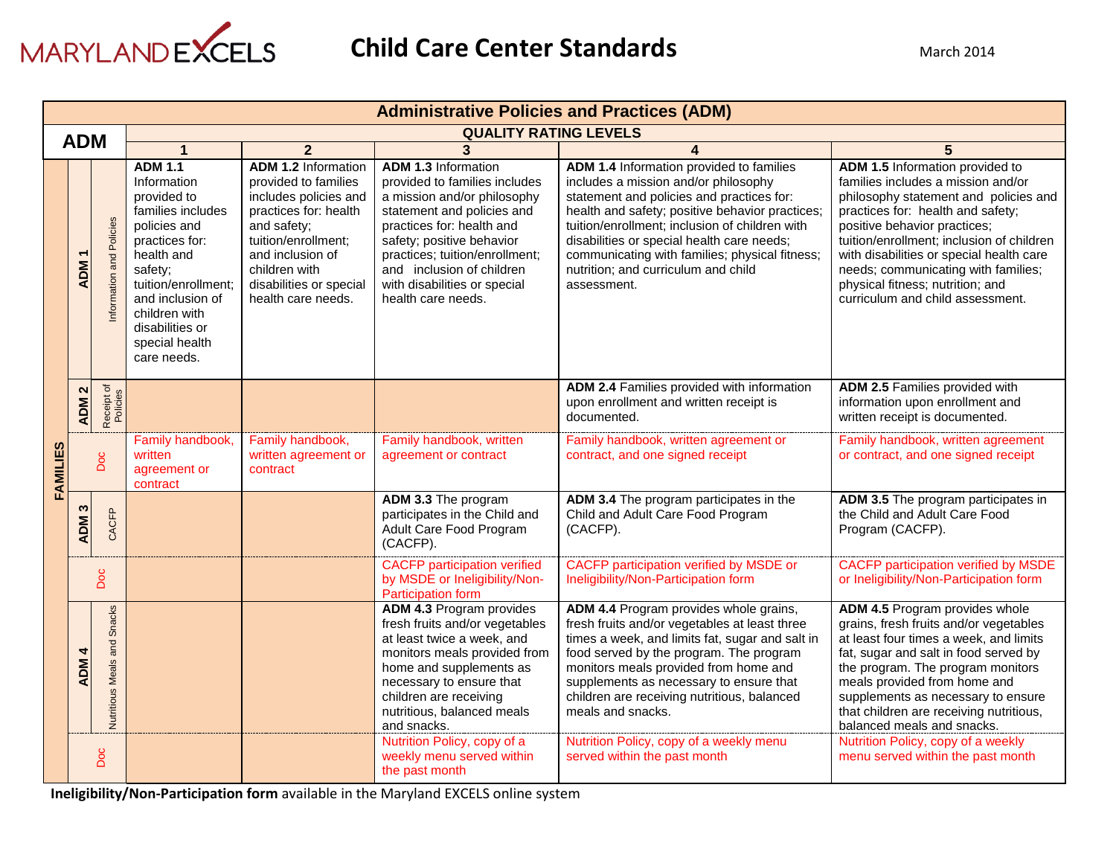

|          | <b>Administrative Policies and Practices (ADM)</b> |                             |                                                                                                                                                                                                                                              |                                                                                                                                                                                                                                  |                                                                                                                                                                                                                                                                                                         |                                                                                                                                                                                                                                                                                                                                                                                          |                                                                                                                                                                                                                                                                                                                                                                                             |  |  |
|----------|----------------------------------------------------|-----------------------------|----------------------------------------------------------------------------------------------------------------------------------------------------------------------------------------------------------------------------------------------|----------------------------------------------------------------------------------------------------------------------------------------------------------------------------------------------------------------------------------|---------------------------------------------------------------------------------------------------------------------------------------------------------------------------------------------------------------------------------------------------------------------------------------------------------|------------------------------------------------------------------------------------------------------------------------------------------------------------------------------------------------------------------------------------------------------------------------------------------------------------------------------------------------------------------------------------------|---------------------------------------------------------------------------------------------------------------------------------------------------------------------------------------------------------------------------------------------------------------------------------------------------------------------------------------------------------------------------------------------|--|--|
|          | <b>ADM</b>                                         |                             |                                                                                                                                                                                                                                              |                                                                                                                                                                                                                                  | <b>QUALITY RATING LEVELS</b>                                                                                                                                                                                                                                                                            |                                                                                                                                                                                                                                                                                                                                                                                          |                                                                                                                                                                                                                                                                                                                                                                                             |  |  |
|          |                                                    |                             | 1                                                                                                                                                                                                                                            | $\overline{2}$                                                                                                                                                                                                                   | 3                                                                                                                                                                                                                                                                                                       | 4                                                                                                                                                                                                                                                                                                                                                                                        |                                                                                                                                                                                                                                                                                                                                                                                             |  |  |
|          | <b>ADM</b>                                         | nformation and Policies     | <b>ADM 1.1</b><br>Information<br>provided to<br>families includes<br>policies and<br>practices for:<br>health and<br>safety;<br>tuition/enrollment;<br>and inclusion of<br>children with<br>disabilities or<br>special health<br>care needs. | <b>ADM 1.2 Information</b><br>provided to families<br>includes policies and<br>practices for: health<br>and safety;<br>tuition/enrollment;<br>and inclusion of<br>children with<br>disabilities or special<br>health care needs. | <b>ADM 1.3 Information</b><br>provided to families includes<br>a mission and/or philosophy<br>statement and policies and<br>practices for: health and<br>safety; positive behavior<br>practices; tuition/enrollment;<br>and inclusion of children<br>with disabilities or special<br>health care needs. | ADM 1.4 Information provided to families<br>includes a mission and/or philosophy<br>statement and policies and practices for:<br>health and safety; positive behavior practices;<br>tuition/enrollment; inclusion of children with<br>disabilities or special health care needs;<br>communicating with families; physical fitness;<br>nutrition; and curriculum and child<br>assessment. | ADM 1.5 Information provided to<br>families includes a mission and/or<br>philosophy statement and policies and<br>practices for: health and safety;<br>positive behavior practices;<br>tuition/enrollment; inclusion of children<br>with disabilities or special health care<br>needs; communicating with families;<br>physical fitness; nutrition; and<br>curriculum and child assessment. |  |  |
|          | $\mathbf{\Omega}$<br><b>ADM</b>                    | Receipt of<br>Policies      |                                                                                                                                                                                                                                              |                                                                                                                                                                                                                                  |                                                                                                                                                                                                                                                                                                         | ADM 2.4 Families provided with information<br>upon enrollment and written receipt is<br>documented.                                                                                                                                                                                                                                                                                      | ADM 2.5 Families provided with<br>information upon enrollment and<br>written receipt is documented.                                                                                                                                                                                                                                                                                         |  |  |
| FAMILIES |                                                    | Doc                         | Family handbook,<br>written<br>agreement or<br>contract                                                                                                                                                                                      | Family handbook,<br>written agreement or<br>contract                                                                                                                                                                             | Family handbook, written<br>agreement or contract                                                                                                                                                                                                                                                       | Family handbook, written agreement or<br>contract, and one signed receipt                                                                                                                                                                                                                                                                                                                | Family handbook, written agreement<br>or contract, and one signed receipt                                                                                                                                                                                                                                                                                                                   |  |  |
|          | S<br><b>ADM</b>                                    | CACFP                       |                                                                                                                                                                                                                                              |                                                                                                                                                                                                                                  | ADM 3.3 The program<br>participates in the Child and<br>Adult Care Food Program<br>(CACFP).                                                                                                                                                                                                             | ADM 3.4 The program participates in the<br>Child and Adult Care Food Program<br>(CACFP).                                                                                                                                                                                                                                                                                                 | ADM 3.5 The program participates in<br>the Child and Adult Care Food<br>Program (CACFP).                                                                                                                                                                                                                                                                                                    |  |  |
|          |                                                    | Doc                         |                                                                                                                                                                                                                                              |                                                                                                                                                                                                                                  | <b>CACFP</b> participation verified<br>by MSDE or Ineligibility/Non-<br>Participation form                                                                                                                                                                                                              | <b>CACFP</b> participation verified by MSDE or<br>Ineligibility/Non-Participation form                                                                                                                                                                                                                                                                                                   | <b>CACFP participation verified by MSDE</b><br>or Ineligibility/Non-Participation form                                                                                                                                                                                                                                                                                                      |  |  |
|          | 4<br><b>ADM</b>                                    | Nutritious Meals and Snacks |                                                                                                                                                                                                                                              |                                                                                                                                                                                                                                  | <b>ADM 4.3 Program provides</b><br>fresh fruits and/or vegetables<br>at least twice a week, and<br>monitors meals provided from<br>home and supplements as<br>necessary to ensure that<br>children are receiving<br>nutritious, balanced meals<br>and snacks.<br>Nutrition Policy, copy of a            | ADM 4.4 Program provides whole grains,<br>fresh fruits and/or vegetables at least three<br>times a week, and limits fat, sugar and salt in<br>food served by the program. The program<br>monitors meals provided from home and<br>supplements as necessary to ensure that<br>children are receiving nutritious, balanced<br>meals and snacks.<br>Nutrition Policy, copy of a weekly menu | ADM 4.5 Program provides whole<br>grains, fresh fruits and/or vegetables<br>at least four times a week, and limits<br>fat, sugar and salt in food served by<br>the program. The program monitors<br>meals provided from home and<br>supplements as necessary to ensure<br>that children are receiving nutritious,<br>balanced meals and snacks.<br>Nutrition Policy, copy of a weekly       |  |  |
|          |                                                    | Doc                         |                                                                                                                                                                                                                                              |                                                                                                                                                                                                                                  | weekly menu served within<br>the past month                                                                                                                                                                                                                                                             | served within the past month                                                                                                                                                                                                                                                                                                                                                             | menu served within the past month                                                                                                                                                                                                                                                                                                                                                           |  |  |

**Ineligibility/Non-Participation form** available in the Maryland EXCELS online system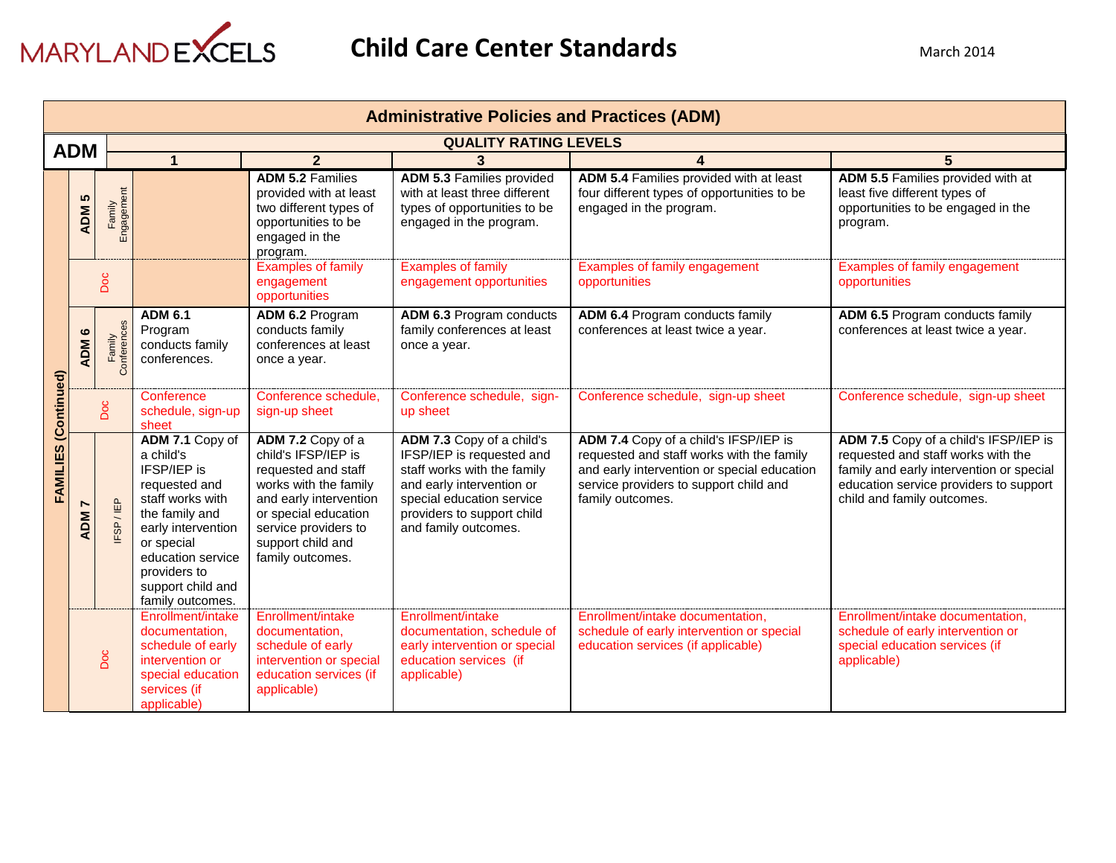

|                      | <b>Administrative Policies and Practices (ADM)</b> |                      |                                                                                                                                                                                                                      |                                                                                                                                                                                                             |                                                                                                                                                                                                       |                                                                                                                                                                                                 |                                                                                                                                                                                                 |  |  |
|----------------------|----------------------------------------------------|----------------------|----------------------------------------------------------------------------------------------------------------------------------------------------------------------------------------------------------------------|-------------------------------------------------------------------------------------------------------------------------------------------------------------------------------------------------------------|-------------------------------------------------------------------------------------------------------------------------------------------------------------------------------------------------------|-------------------------------------------------------------------------------------------------------------------------------------------------------------------------------------------------|-------------------------------------------------------------------------------------------------------------------------------------------------------------------------------------------------|--|--|
|                      |                                                    |                      |                                                                                                                                                                                                                      |                                                                                                                                                                                                             |                                                                                                                                                                                                       | <b>QUALITY RATING LEVELS</b>                                                                                                                                                                    |                                                                                                                                                                                                 |  |  |
| <b>ADM</b>           |                                                    |                      |                                                                                                                                                                                                                      | $\overline{2}$                                                                                                                                                                                              | 3                                                                                                                                                                                                     |                                                                                                                                                                                                 | 5                                                                                                                                                                                               |  |  |
|                      | <b>5</b><br><b>ADM</b>                             | Family<br>Engagement |                                                                                                                                                                                                                      | <b>ADM 5.2 Families</b><br>provided with at least<br>two different types of<br>opportunities to be<br>engaged in the<br>program.                                                                            | <b>ADM 5.3 Families provided</b><br>with at least three different<br>types of opportunities to be<br>engaged in the program.                                                                          | ADM 5.4 Families provided with at least<br>four different types of opportunities to be<br>engaged in the program.                                                                               | ADM 5.5 Families provided with at<br>least five different types of<br>opportunities to be engaged in the<br>program.                                                                            |  |  |
|                      |                                                    | Doc                  |                                                                                                                                                                                                                      | <b>Examples of family</b><br>engagement<br>opportunities                                                                                                                                                    | <b>Examples of family</b><br>engagement opportunities                                                                                                                                                 | Examples of family engagement<br>opportunities                                                                                                                                                  | Examples of family engagement<br>opportunities                                                                                                                                                  |  |  |
|                      | ဖ<br><b>ADM</b>                                    | ි                    | <b>ADM 6.1</b><br>Program<br>conducts family<br>conferences.                                                                                                                                                         | ADM 6.2 Program<br>conducts family<br>conferences at least<br>once a year.                                                                                                                                  | ADM 6.3 Program conducts<br>family conferences at least<br>once a year.                                                                                                                               | ADM 6.4 Program conducts family<br>conferences at least twice a year.                                                                                                                           | ADM 6.5 Program conducts family<br>conferences at least twice a year.                                                                                                                           |  |  |
|                      |                                                    | Doc                  | Conference<br>schedule, sign-up<br>sheet                                                                                                                                                                             | Conference schedule,<br>sign-up sheet                                                                                                                                                                       | Conference schedule, sign-<br>up sheet                                                                                                                                                                | Conference schedule, sign-up sheet                                                                                                                                                              | Conference schedule, sign-up sheet                                                                                                                                                              |  |  |
| FAMILIES (Continued) | <b>ADM</b>                                         | FSP/IEP              | ADM 7.1 Copy of<br>a child's<br>IFSP/IEP is<br>requested and<br>staff works with<br>the family and<br>early intervention<br>or special<br>education service<br>providers to<br>support child and<br>family outcomes. | ADM 7.2 Copy of a<br>child's IFSP/IEP is<br>requested and staff<br>works with the family<br>and early intervention<br>or special education<br>service providers to<br>support child and<br>family outcomes. | ADM 7.3 Copy of a child's<br>IFSP/IEP is requested and<br>staff works with the family<br>and early intervention or<br>special education service<br>providers to support child<br>and family outcomes. | ADM 7.4 Copy of a child's IFSP/IEP is<br>requested and staff works with the family<br>and early intervention or special education<br>service providers to support child and<br>family outcomes. | ADM 7.5 Copy of a child's IFSP/IEP is<br>requested and staff works with the<br>family and early intervention or special<br>education service providers to support<br>child and family outcomes. |  |  |
|                      |                                                    | Doc                  | Enrollment/intake<br>documentation,<br>schedule of early<br>intervention or<br>special education<br>services (if<br>applicable)                                                                                      | Enrollment/intake<br>documentation.<br>schedule of early<br>intervention or special<br>education services (if<br>applicable)                                                                                | Enrollment/intake<br>documentation, schedule of<br>early intervention or special<br>education services (if<br>applicable)                                                                             | Enrollment/intake documentation,<br>schedule of early intervention or special<br>education services (if applicable)                                                                             | Enrollment/intake documentation,<br>schedule of early intervention or<br>special education services (if<br>applicable)                                                                          |  |  |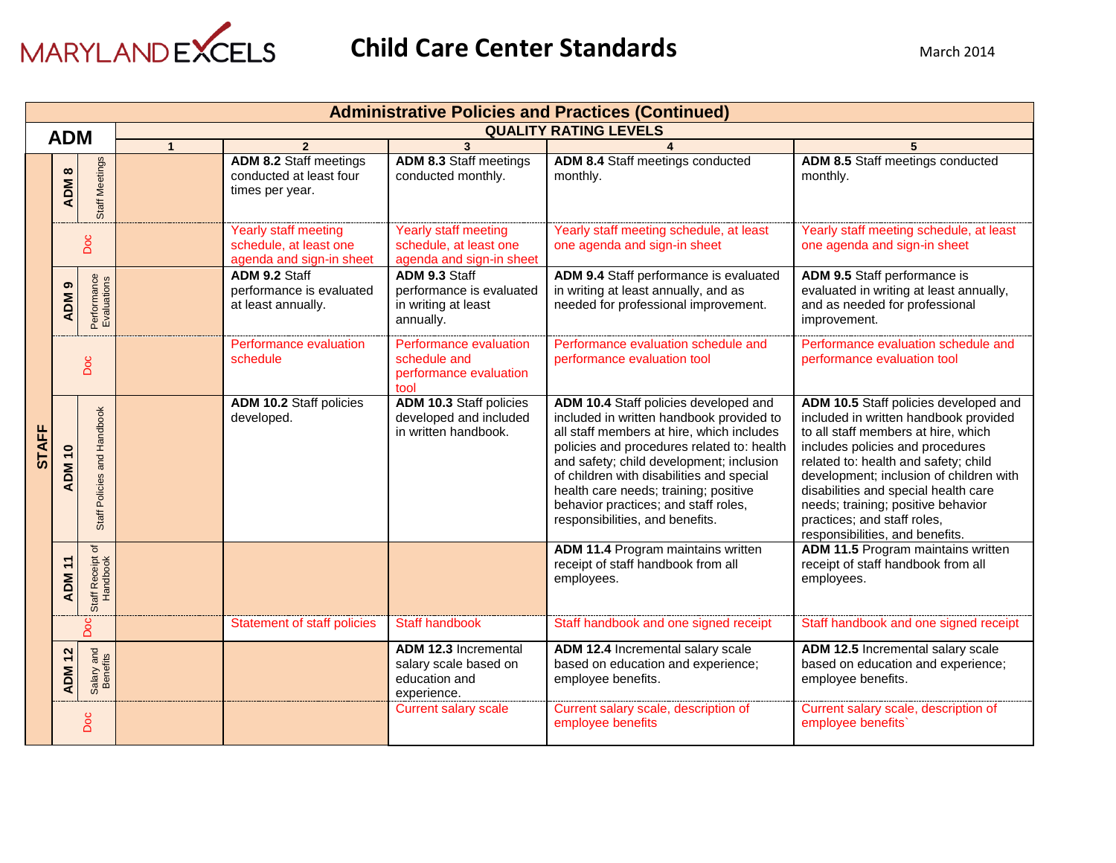

|              |                             |                              |                              |                                                                             |                                                                                      | <b>Administrative Policies and Practices (Continued)</b>                                                                                                                                                                                                                                                                                                                                  |                                                                                                                                                                                                                                                                                                                                                                                              |  |
|--------------|-----------------------------|------------------------------|------------------------------|-----------------------------------------------------------------------------|--------------------------------------------------------------------------------------|-------------------------------------------------------------------------------------------------------------------------------------------------------------------------------------------------------------------------------------------------------------------------------------------------------------------------------------------------------------------------------------------|----------------------------------------------------------------------------------------------------------------------------------------------------------------------------------------------------------------------------------------------------------------------------------------------------------------------------------------------------------------------------------------------|--|
|              | <b>ADM</b>                  |                              | <b>QUALITY RATING LEVELS</b> |                                                                             |                                                                                      |                                                                                                                                                                                                                                                                                                                                                                                           |                                                                                                                                                                                                                                                                                                                                                                                              |  |
|              |                             |                              | $\overline{1}$               | $\overline{2}$                                                              | $\overline{3}$                                                                       |                                                                                                                                                                                                                                                                                                                                                                                           | 5                                                                                                                                                                                                                                                                                                                                                                                            |  |
|              | $\infty$<br><b>ADM</b>      | Staff Meetings               |                              | <b>ADM 8.2 Staff meetings</b><br>conducted at least four<br>times per year. | <b>ADM 8.3 Staff meetings</b><br>conducted monthly.                                  | <b>ADM 8.4 Staff meetings conducted</b><br>monthly.                                                                                                                                                                                                                                                                                                                                       | ADM 8.5 Staff meetings conducted<br>monthly.                                                                                                                                                                                                                                                                                                                                                 |  |
|              |                             | Doc                          |                              | Yearly staff meeting<br>schedule, at least one<br>agenda and sign-in sheet  | <b>Yearly staff meeting</b><br>schedule, at least one<br>agenda and sign-in sheet    | Yearly staff meeting schedule, at least<br>one agenda and sign-in sheet                                                                                                                                                                                                                                                                                                                   | Yearly staff meeting schedule, at least<br>one agenda and sign-in sheet                                                                                                                                                                                                                                                                                                                      |  |
|              | ၈<br><b>ADM</b>             | Performance<br>Evaluations   |                              | ADM 9.2 Staff<br>performance is evaluated<br>at least annually.             | ADM 9.3 Staff<br>performance is evaluated<br>in writing at least<br>annually.        | ADM 9.4 Staff performance is evaluated<br>in writing at least annually, and as<br>needed for professional improvement.                                                                                                                                                                                                                                                                    | ADM 9.5 Staff performance is<br>evaluated in writing at least annually,<br>and as needed for professional<br>improvement.                                                                                                                                                                                                                                                                    |  |
|              | Doc                         |                              |                              | Performance evaluation<br>schedule                                          | Performance evaluation<br>schedule and<br>performance evaluation<br>tool             | Performance evaluation schedule and<br>performance evaluation tool                                                                                                                                                                                                                                                                                                                        | Performance evaluation schedule and<br>performance evaluation tool                                                                                                                                                                                                                                                                                                                           |  |
| <b>STAFF</b> | <b>ADM 10</b>               | Staff Policies and Handbook  |                              | ADM 10.2 Staff policies<br>developed.                                       | ADM 10.3 Staff policies<br>developed and included<br>in written handbook.            | ADM 10.4 Staff policies developed and<br>included in written handbook provided to<br>all staff members at hire, which includes<br>policies and procedures related to: health<br>and safety; child development; inclusion<br>of children with disabilities and special<br>health care needs; training; positive<br>behavior practices; and staff roles,<br>responsibilities, and benefits. | ADM 10.5 Staff policies developed and<br>included in written handbook provided<br>to all staff members at hire, which<br>includes policies and procedures<br>related to: health and safety; child<br>development; inclusion of children with<br>disabilities and special health care<br>needs; training; positive behavior<br>practices; and staff roles,<br>responsibilities, and benefits. |  |
|              | $\mathbf{r}$<br><b>ADM</b>  | Staff Receipt of<br>Handbook |                              |                                                                             |                                                                                      | <b>ADM 11.4 Program maintains written</b><br>receipt of staff handbook from all<br>employees.                                                                                                                                                                                                                                                                                             | ADM 11.5 Program maintains written<br>receipt of staff handbook from all<br>employees.                                                                                                                                                                                                                                                                                                       |  |
|              |                             | <b>Doc</b>                   |                              | <b>Statement of staff policies</b>                                          | <b>Staff handbook</b>                                                                | Staff handbook and one signed receipt                                                                                                                                                                                                                                                                                                                                                     | Staff handbook and one signed receipt                                                                                                                                                                                                                                                                                                                                                        |  |
|              | $\frac{2}{3}$<br><b>ADM</b> | Salary and<br>Benefits       |                              |                                                                             | <b>ADM 12.3 Incremental</b><br>salary scale based on<br>education and<br>experience. | ADM 12.4 Incremental salary scale<br>based on education and experience;<br>employee benefits.                                                                                                                                                                                                                                                                                             | ADM 12.5 Incremental salary scale<br>based on education and experience;<br>employee benefits.                                                                                                                                                                                                                                                                                                |  |
|              |                             | Doc                          |                              |                                                                             | <b>Current salary scale</b>                                                          | Current salary scale, description of<br>employee benefits                                                                                                                                                                                                                                                                                                                                 | Current salary scale, description of<br>employee benefits'                                                                                                                                                                                                                                                                                                                                   |  |